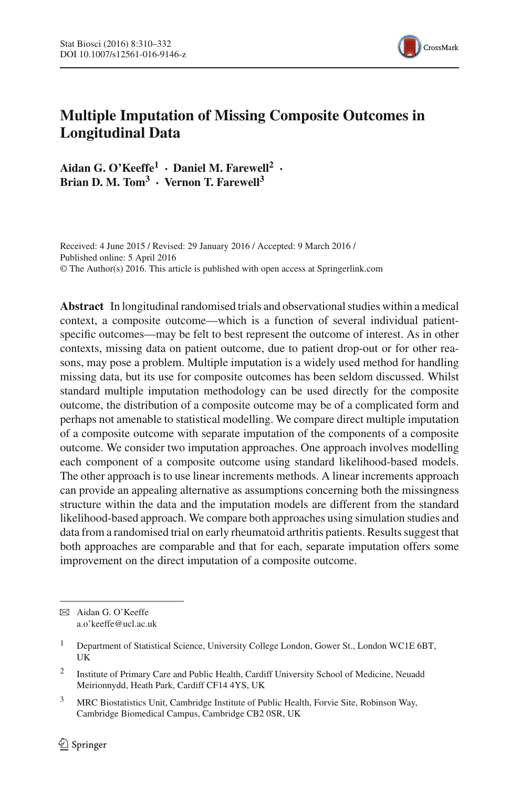

# **Multiple Imputation of Missing Composite Outcomes in Longitudinal Data**

**Aidan G. O'Keeffe1 · Daniel M. Farewell<sup>2</sup> · Brian D. M. Tom3 · Vernon T. Farewell3**

Received: 4 June 2015 / Revised: 29 January 2016 / Accepted: 9 March 2016 / Published online: 5 April 2016 © The Author(s) 2016. This article is published with open access at Springerlink.com

**Abstract** In longitudinal randomised trials and observational studies within a medical context, a composite outcome—which is a function of several individual patientspecific outcomes—may be felt to best represent the outcome of interest. As in other contexts, missing data on patient outcome, due to patient drop-out or for other reasons, may pose a problem. Multiple imputation is a widely used method for handling missing data, but its use for composite outcomes has been seldom discussed. Whilst standard multiple imputation methodology can be used directly for the composite outcome, the distribution of a composite outcome may be of a complicated form and perhaps not amenable to statistical modelling. We compare direct multiple imputation of a composite outcome with separate imputation of the components of a composite outcome. We consider two imputation approaches. One approach involves modelling each component of a composite outcome using standard likelihood-based models. The other approach is to use linear increments methods. A linear increments approach can provide an appealing alternative as assumptions concerning both the missingness structure within the data and the imputation models are different from the standard likelihood-based approach. We compare both approaches using simulation studies and data from a randomised trial on early rheumatoid arthritis patients. Results suggest that both approaches are comparable and that for each, separate imputation offers some improvement on the direct imputation of a composite outcome.

B Aidan G. O'Keeffe a.o'keeffe@ucl.ac.uk

<sup>&</sup>lt;sup>1</sup> Department of Statistical Science, University College London, Gower St., London WC1E 6BT, UK

<sup>&</sup>lt;sup>2</sup> Institute of Primary Care and Public Health, Cardiff University School of Medicine, Neuadd Meirionnydd, Heath Park, Cardiff CF14 4YS, UK

<sup>3</sup> MRC Biostatistics Unit, Cambridge Institute of Public Health, Forvie Site, Robinson Way, Cambridge Biomedical Campus, Cambridge CB2 0SR, UK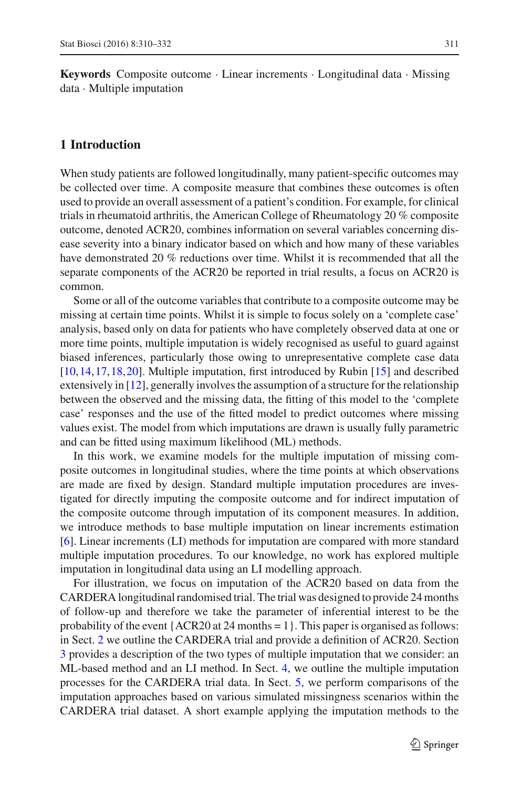**Keywords** Composite outcome · Linear increments · Longitudinal data · Missing data · Multiple imputation

## **1 Introduction**

When study patients are followed longitudinally, many patient-specific outcomes may be collected over time. A composite measure that combines these outcomes is often used to provide an overall assessment of a patient's condition. For example, for clinical trials in rheumatoid arthritis, the American College of Rheumatology 20 % composite outcome, denoted ACR20, combines information on several variables concerning disease severity into a binary indicator based on which and how many of these variables have demonstrated 20 % reductions over time. Whilst it is recommended that all the separate components of the ACR20 be reported in trial results, a focus on ACR20 is common.

Some or all of the outcome variables that contribute to a composite outcome may be missing at certain time points. Whilst it is simple to focus solely on a 'complete case' analysis, based only on data for patients who have completely observed data at one or more time points, multiple imputation is widely recognised as useful to guard against biased inferences, particularly those owing to unrepresentative complete case data [\[10](#page-22-0)[,14](#page-22-1),[17](#page-22-2),[18,](#page-22-3)[20\]](#page-22-4). Multiple imputation, first introduced by Rubin [\[15\]](#page-22-5) and described extensively in [\[12\]](#page-22-6), generally involves the assumption of a structure for the relationship between the observed and the missing data, the fitting of this model to the 'complete case' responses and the use of the fitted model to predict outcomes where missing values exist. The model from which imputations are drawn is usually fully parametric and can be fitted using maximum likelihood (ML) methods.

In this work, we examine models for the multiple imputation of missing composite outcomes in longitudinal studies, where the time points at which observations are made are fixed by design. Standard multiple imputation procedures are investigated for directly imputing the composite outcome and for indirect imputation of the composite outcome through imputation of its component measures. In addition, we introduce methods to base multiple imputation on linear increments estimation [\[6](#page-22-7)]. Linear increments (LI) methods for imputation are compared with more standard multiple imputation procedures. To our knowledge, no work has explored multiple imputation in longitudinal data using an LI modelling approach.

For illustration, we focus on imputation of the ACR20 based on data from the CARDERA longitudinal randomised trial. The trial was designed to provide 24 months of follow-up and therefore we take the parameter of inferential interest to be the probability of the event  ${ACR20 \text{ at } 24 \text{ months} = 1}.$  This paper is organised as follows: in Sect. [2](#page-2-0) we outline the CARDERA trial and provide a definition of ACR20. Section [3](#page-3-0) provides a description of the two types of multiple imputation that we consider: an ML-based method and an LI method. In Sect. [4,](#page-5-0) we outline the multiple imputation processes for the CARDERA trial data. In Sect. [5,](#page-7-0) we perform comparisons of the imputation approaches based on various simulated missingness scenarios within the CARDERA trial dataset. A short example applying the imputation methods to the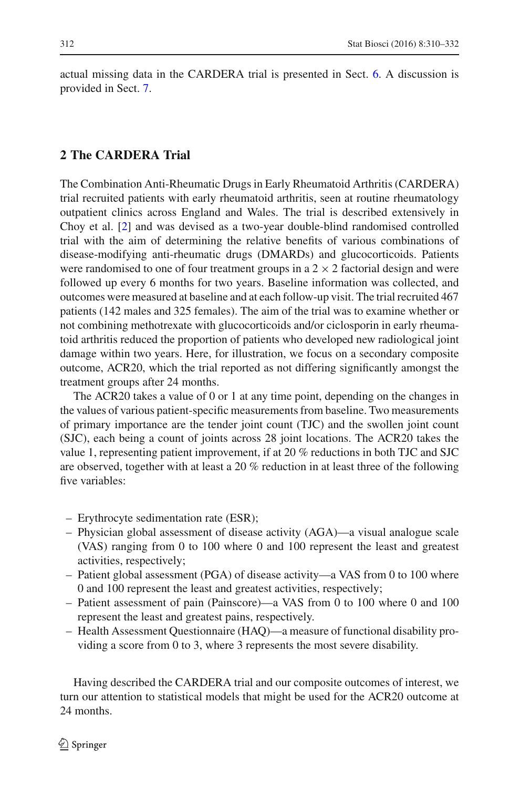actual missing data in the CARDERA trial is presented in Sect. [6.](#page-11-0) A discussion is provided in Sect. [7.](#page-17-0)

# <span id="page-2-0"></span>**2 The CARDERA Trial**

The Combination Anti-Rheumatic Drugs in Early Rheumatoid Arthritis (CARDERA) trial recruited patients with early rheumatoid arthritis, seen at routine rheumatology outpatient clinics across England and Wales. The trial is described extensively in Choy et al. [\[2\]](#page-21-0) and was devised as a two-year double-blind randomised controlled trial with the aim of determining the relative benefits of various combinations of disease-modifying anti-rheumatic drugs (DMARDs) and glucocorticoids. Patients were randomised to one of four treatment groups in a  $2 \times 2$  factorial design and were followed up every 6 months for two years. Baseline information was collected, and outcomes were measured at baseline and at each follow-up visit. The trial recruited 467 patients (142 males and 325 females). The aim of the trial was to examine whether or not combining methotrexate with glucocorticoids and/or ciclosporin in early rheumatoid arthritis reduced the proportion of patients who developed new radiological joint damage within two years. Here, for illustration, we focus on a secondary composite outcome, ACR20, which the trial reported as not differing significantly amongst the treatment groups after 24 months.

The ACR20 takes a value of 0 or 1 at any time point, depending on the changes in the values of various patient-specific measurements from baseline. Two measurements of primary importance are the tender joint count (TJC) and the swollen joint count (SJC), each being a count of joints across 28 joint locations. The ACR20 takes the value 1, representing patient improvement, if at 20 % reductions in both TJC and SJC are observed, together with at least a 20  $%$  reduction in at least three of the following five variables:

- Erythrocyte sedimentation rate (ESR);
- Physician global assessment of disease activity (AGA)—a visual analogue scale (VAS) ranging from 0 to 100 where 0 and 100 represent the least and greatest activities, respectively;
- Patient global assessment (PGA) of disease activity—a VAS from 0 to 100 where 0 and 100 represent the least and greatest activities, respectively;
- Patient assessment of pain (Painscore)—a VAS from 0 to 100 where 0 and 100 represent the least and greatest pains, respectively.
- Health Assessment Questionnaire (HAQ)—a measure of functional disability providing a score from 0 to 3, where 3 represents the most severe disability.

Having described the CARDERA trial and our composite outcomes of interest, we turn our attention to statistical models that might be used for the ACR20 outcome at 24 months.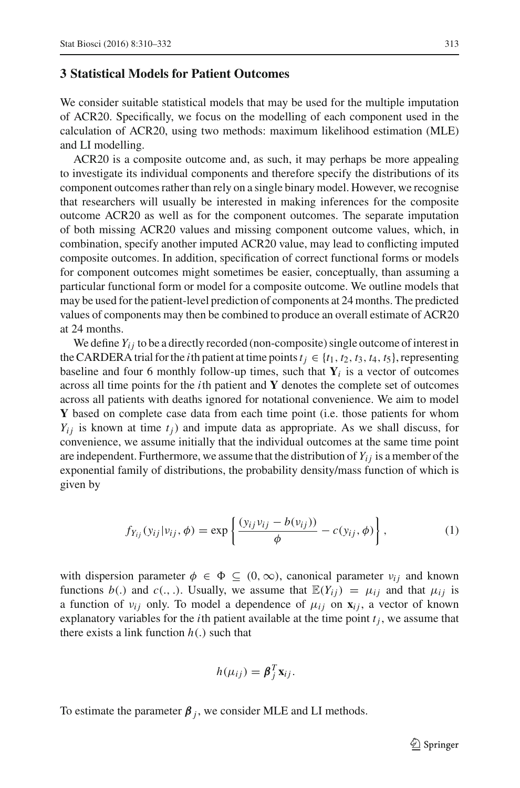## <span id="page-3-0"></span>**3 Statistical Models for Patient Outcomes**

We consider suitable statistical models that may be used for the multiple imputation of ACR20. Specifically, we focus on the modelling of each component used in the calculation of ACR20, using two methods: maximum likelihood estimation (MLE) and LI modelling.

ACR20 is a composite outcome and, as such, it may perhaps be more appealing to investigate its individual components and therefore specify the distributions of its component outcomes rather than rely on a single binary model. However, we recognise that researchers will usually be interested in making inferences for the composite outcome ACR20 as well as for the component outcomes. The separate imputation of both missing ACR20 values and missing component outcome values, which, in combination, specify another imputed ACR20 value, may lead to conflicting imputed composite outcomes. In addition, specification of correct functional forms or models for component outcomes might sometimes be easier, conceptually, than assuming a particular functional form or model for a composite outcome. We outline models that may be used for the patient-level prediction of components at 24 months. The predicted values of components may then be combined to produce an overall estimate of ACR20 at 24 months.

We define  $Y_{ij}$  to be a directly recorded (non-composite) single outcome of interest in the CARDERA trial for the *i*th patient at time points  $t_i \in \{t_1, t_2, t_3, t_4, t_5\}$ , representing baseline and four 6 monthly follow-up times, such that  $Y_i$  is a vector of outcomes across all time points for the *i*th patient and **Y** denotes the complete set of outcomes across all patients with deaths ignored for notational convenience. We aim to model **Y** based on complete case data from each time point (i.e. those patients for whom  $Y_{ij}$  is known at time  $t_j$ ) and impute data as appropriate. As we shall discuss, for convenience, we assume initially that the individual outcomes at the same time point are independent. Furthermore, we assume that the distribution of  $Y_{ij}$  is a member of the exponential family of distributions, the probability density/mass function of which is given by

$$
f_{Y_{ij}}(y_{ij}|\nu_{ij},\phi) = \exp\left\{\frac{(y_{ij}\nu_{ij} - b(\nu_{ij}))}{\phi} - c(y_{ij},\phi)\right\},\tag{1}
$$

<span id="page-3-1"></span>with dispersion parameter  $\phi \in \Phi \subseteq (0,\infty)$ , canonical parameter  $v_{ij}$  and known functions  $b(.)$  and  $c(.,.)$ . Usually, we assume that  $\mathbb{E}(Y_{ij}) = \mu_{ij}$  and that  $\mu_{ij}$  is a function of  $v_{ij}$  only. To model a dependence of  $\mu_{ij}$  on  $\mathbf{x}_{ij}$ , a vector of known explanatory variables for the *i*th patient available at the time point  $t_i$ , we assume that there exists a link function *h*(.) such that

$$
h(\mu_{ij}) = \boldsymbol{\beta}_j^T \mathbf{x}_{ij}.
$$

To estimate the parameter  $\beta$  *j*, we consider MLE and LI methods.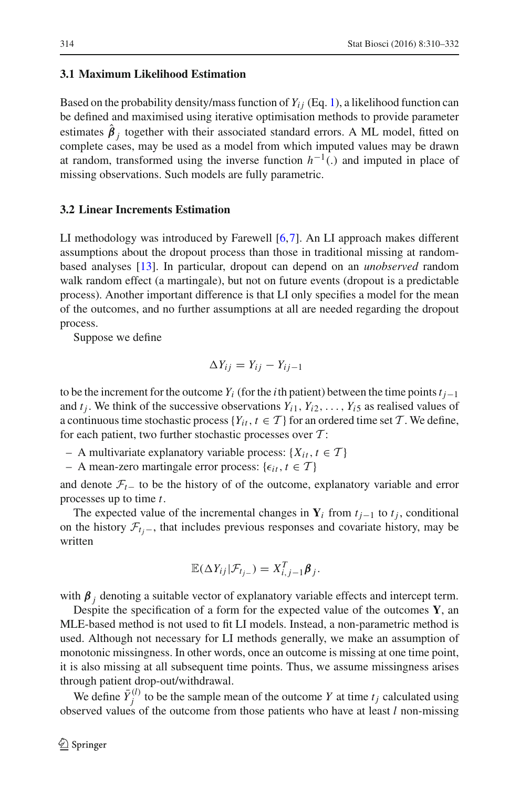# **3.1 Maximum Likelihood Estimation**

Based on the probability density/mass function of *Yi j* (Eq. [1\)](#page-3-1), a likelihood function can be defined and maximised using iterative optimisation methods to provide parameter estimates  $\hat{\beta}_i$  together with their associated standard errors. A ML model, fitted on complete cases, may be used as a model from which imputed values may be drawn at random, transformed using the inverse function *h*−1(.) and imputed in place of missing observations. Such models are fully parametric.

#### **3.2 Linear Increments Estimation**

LI methodology was introduced by Farewell [\[6](#page-22-7),[7\]](#page-22-8). An LI approach makes different assumptions about the dropout process than those in traditional missing at randombased analyses [\[13](#page-22-9)]. In particular, dropout can depend on an *unobserved* random walk random effect (a martingale), but not on future events (dropout is a predictable process). Another important difference is that LI only specifies a model for the mean of the outcomes, and no further assumptions at all are needed regarding the dropout process.

Suppose we define

$$
\Delta Y_{ij} = Y_{ij} - Y_{ij-1}
$$

to be the increment for the outcome  $Y_i$  (for the *i*th patient) between the time points  $t_{i-1}$ and  $t_i$ . We think of the successive observations  $Y_{i1}$ ,  $Y_{i2}$ , ...,  $Y_{i5}$  as realised values of a continuous time stochastic process { $Y_{it}, t \in \mathcal{T}$ } for an ordered time set  $\mathcal{T}$ . We define, for each patient, two further stochastic processes over *T* :

- $-$  A multivariate explanatory variable process: { $X_{it}$ ,  $t \in \mathcal{T}$ }
- − A mean-zero martingale error process: { $\epsilon_{it}$ ,  $t \in T$ }

and denote  $\mathcal{F}_{t-}$  to be the history of of the outcome, explanatory variable and error processes up to time *t*.

The expected value of the incremental changes in  $Y_i$  from  $t_{i-1}$  to  $t_i$ , conditional on the history  $\mathcal{F}_{t_j-}$ , that includes previous responses and covariate history, may be written

$$
\mathbb{E}(\Delta Y_{ij}|\mathcal{F}_{t_{j-}})=X_{i,j-1}^T\boldsymbol{\beta}_j.
$$

with  $\beta$  *j* denoting a suitable vector of explanatory variable effects and intercept term.

Despite the specification of a form for the expected value of the outcomes **Y**, an MLE-based method is not used to fit LI models. Instead, a non-parametric method is used. Although not necessary for LI methods generally, we make an assumption of monotonic missingness. In other words, once an outcome is missing at one time point, it is also missing at all subsequent time points. Thus, we assume missingness arises through patient drop-out/withdrawal.

We define  $\bar{Y}_j^{(l)}$  to be the sample mean of the outcome *Y* at time  $t_j$  calculated using observed values of the outcome from those patients who have at least *l* non-missing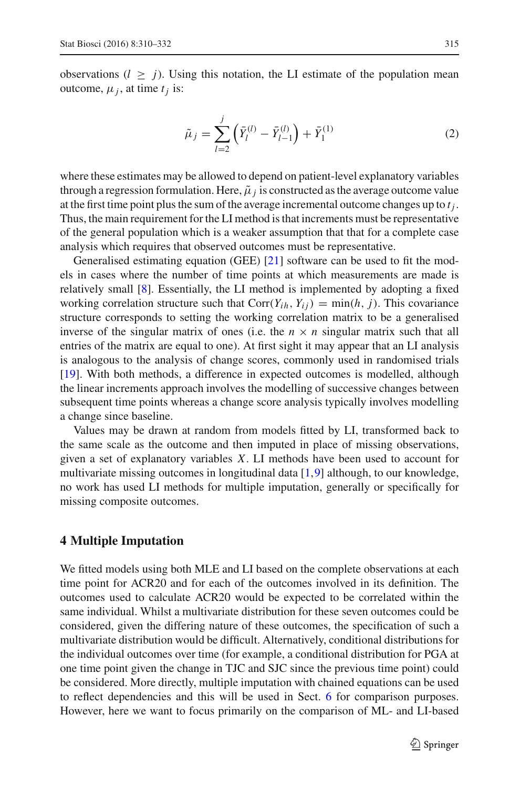observations  $(l \geq j)$ . Using this notation, the LI estimate of the population mean outcome,  $\mu_i$ , at time  $t_i$  is:

$$
\tilde{\mu}_j = \sum_{l=2}^j \left( \bar{Y}_l^{(l)} - \bar{Y}_{l-1}^{(l)} \right) + \bar{Y}_1^{(1)}
$$
\n(2)

<span id="page-5-1"></span>where these estimates may be allowed to depend on patient-level explanatory variables through a regression formulation. Here,  $\tilde{\mu}$  *j* is constructed as the average outcome value at the first time point plus the sum of the average incremental outcome changes up to *tj* . Thus, the main requirement for the LI method is that increments must be representative of the general population which is a weaker assumption that that for a complete case analysis which requires that observed outcomes must be representative.

Generalised estimating equation (GEE) [\[21](#page-22-10)] software can be used to fit the models in cases where the number of time points at which measurements are made is relatively small [\[8](#page-22-11)]. Essentially, the LI method is implemented by adopting a fixed working correlation structure such that  $Corr(Y_{ih}, Y_{ij}) = min(h, j)$ . This covariance structure corresponds to setting the working correlation matrix to be a generalised inverse of the singular matrix of ones (i.e. the  $n \times n$  singular matrix such that all entries of the matrix are equal to one). At first sight it may appear that an LI analysis is analogous to the analysis of change scores, commonly used in randomised trials [\[19](#page-22-12)]. With both methods, a difference in expected outcomes is modelled, although the linear increments approach involves the modelling of successive changes between subsequent time points whereas a change score analysis typically involves modelling a change since baseline.

Values may be drawn at random from models fitted by LI, transformed back to the same scale as the outcome and then imputed in place of missing observations, given a set of explanatory variables *X*. LI methods have been used to account for multivariate missing outcomes in longitudinal data [\[1,](#page-21-1)[9\]](#page-22-13) although, to our knowledge, no work has used LI methods for multiple imputation, generally or specifically for missing composite outcomes.

#### <span id="page-5-0"></span>**4 Multiple Imputation**

We fitted models using both MLE and LI based on the complete observations at each time point for ACR20 and for each of the outcomes involved in its definition. The outcomes used to calculate ACR20 would be expected to be correlated within the same individual. Whilst a multivariate distribution for these seven outcomes could be considered, given the differing nature of these outcomes, the specification of such a multivariate distribution would be difficult. Alternatively, conditional distributions for the individual outcomes over time (for example, a conditional distribution for PGA at one time point given the change in TJC and SJC since the previous time point) could be considered. More directly, multiple imputation with chained equations can be used to reflect dependencies and this will be used in Sect. [6](#page-11-0) for comparison purposes. However, here we want to focus primarily on the comparison of ML- and LI-based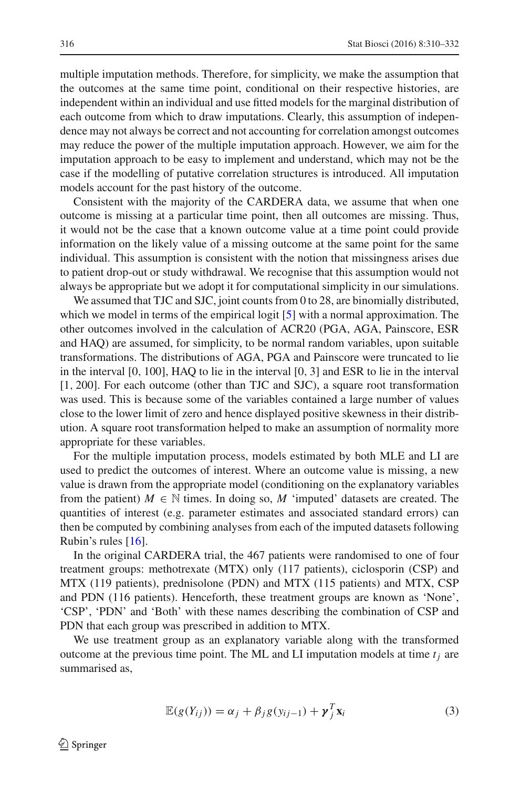multiple imputation methods. Therefore, for simplicity, we make the assumption that the outcomes at the same time point, conditional on their respective histories, are independent within an individual and use fitted models for the marginal distribution of each outcome from which to draw imputations. Clearly, this assumption of independence may not always be correct and not accounting for correlation amongst outcomes may reduce the power of the multiple imputation approach. However, we aim for the imputation approach to be easy to implement and understand, which may not be the case if the modelling of putative correlation structures is introduced. All imputation models account for the past history of the outcome.

Consistent with the majority of the CARDERA data, we assume that when one outcome is missing at a particular time point, then all outcomes are missing. Thus, it would not be the case that a known outcome value at a time point could provide information on the likely value of a missing outcome at the same point for the same individual. This assumption is consistent with the notion that missingness arises due to patient drop-out or study withdrawal. We recognise that this assumption would not always be appropriate but we adopt it for computational simplicity in our simulations.

We assumed that TJC and SJC, joint counts from 0 to 28, are binomially distributed, which we model in terms of the empirical logit [\[5\]](#page-21-2) with a normal approximation. The other outcomes involved in the calculation of ACR20 (PGA, AGA, Painscore, ESR and HAQ) are assumed, for simplicity, to be normal random variables, upon suitable transformations. The distributions of AGA, PGA and Painscore were truncated to lie in the interval [0, 100], HAQ to lie in the interval [0, 3] and ESR to lie in the interval [1, 200]. For each outcome (other than TJC and SJC), a square root transformation was used. This is because some of the variables contained a large number of values close to the lower limit of zero and hence displayed positive skewness in their distribution. A square root transformation helped to make an assumption of normality more appropriate for these variables.

For the multiple imputation process, models estimated by both MLE and LI are used to predict the outcomes of interest. Where an outcome value is missing, a new value is drawn from the appropriate model (conditioning on the explanatory variables from the patient)  $M \in \mathbb{N}$  times. In doing so, M 'imputed' datasets are created. The quantities of interest (e.g. parameter estimates and associated standard errors) can then be computed by combining analyses from each of the imputed datasets following Rubin's rules [\[16](#page-22-14)].

In the original CARDERA trial, the 467 patients were randomised to one of four treatment groups: methotrexate (MTX) only (117 patients), ciclosporin (CSP) and MTX (119 patients), prednisolone (PDN) and MTX (115 patients) and MTX, CSP and PDN (116 patients). Henceforth, these treatment groups are known as 'None', 'CSP', 'PDN' and 'Both' with these names describing the combination of CSP and PDN that each group was prescribed in addition to MTX.

<span id="page-6-0"></span>We use treatment group as an explanatory variable along with the transformed outcome at the previous time point. The ML and LI imputation models at time  $t_i$  are summarised as,

$$
\mathbb{E}(g(Y_{ij})) = \alpha_j + \beta_j g(y_{ij-1}) + \gamma_j^T \mathbf{x}_i
$$
\n(3)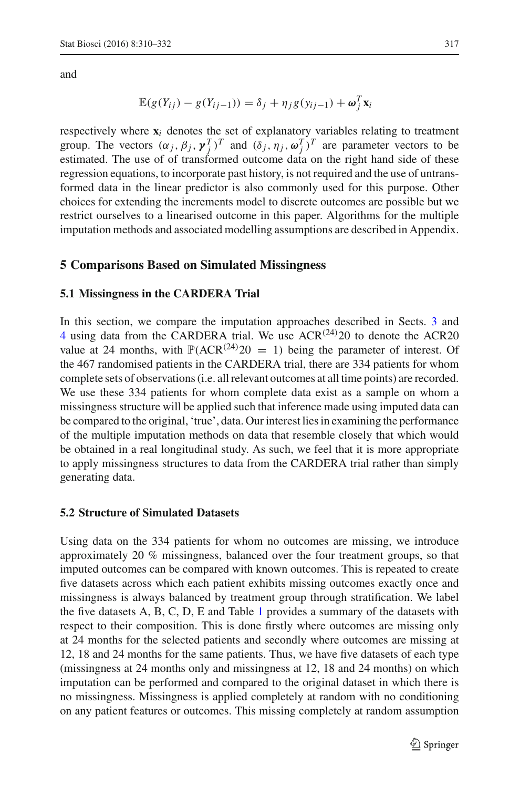and

$$
\mathbb{E}(g(Y_{ij}) - g(Y_{ij-1})) = \delta_j + \eta_j g(y_{ij-1}) + \boldsymbol{\omega}_j^T \mathbf{x}_i
$$

respectively where  $\mathbf{x}_i$  denotes the set of explanatory variables relating to treatment group. The vectors  $(\alpha_j, \beta_j, \gamma_j^T)^T$  and  $(\delta_j, \eta_j, \omega_j^T)^T$  are parameter vectors to be estimated. The use of of transformed outcome data on the right hand side of these regression equations, to incorporate past history, is not required and the use of untransformed data in the linear predictor is also commonly used for this purpose. Other choices for extending the increments model to discrete outcomes are possible but we restrict ourselves to a linearised outcome in this paper. Algorithms for the multiple imputation methods and associated modelling assumptions are described in Appendix.

# <span id="page-7-0"></span>**5 Comparisons Based on Simulated Missingness**

#### **5.1 Missingness in the CARDERA Trial**

In this section, we compare the imputation approaches described in Sects. [3](#page-3-0) and [4](#page-5-0) using data from the CARDERA trial. We use  $ACR^{(24)}20$  to denote the ACR20 value at 24 months, with  $\mathbb{P}(ACR^{(24)}20 = 1)$  being the parameter of interest. Of the 467 randomised patients in the CARDERA trial, there are 334 patients for whom complete sets of observations (i.e. all relevant outcomes at all time points) are recorded. We use these 334 patients for whom complete data exist as a sample on whom a missingness structure will be applied such that inference made using imputed data can be compared to the original, 'true', data. Our interest lies in examining the performance of the multiple imputation methods on data that resemble closely that which would be obtained in a real longitudinal study. As such, we feel that it is more appropriate to apply missingness structures to data from the CARDERA trial rather than simply generating data.

#### **5.2 Structure of Simulated Datasets**

Using data on the 334 patients for whom no outcomes are missing, we introduce approximately 20 % missingness, balanced over the four treatment groups, so that imputed outcomes can be compared with known outcomes. This is repeated to create five datasets across which each patient exhibits missing outcomes exactly once and missingness is always balanced by treatment group through stratification. We label the five datasets A, B, C, D, E and Table [1](#page-8-0) provides a summary of the datasets with respect to their composition. This is done firstly where outcomes are missing only at 24 months for the selected patients and secondly where outcomes are missing at 12, 18 and 24 months for the same patients. Thus, we have five datasets of each type (missingness at 24 months only and missingness at 12, 18 and 24 months) on which imputation can be performed and compared to the original dataset in which there is no missingness. Missingness is applied completely at random with no conditioning on any patient features or outcomes. This missing completely at random assumption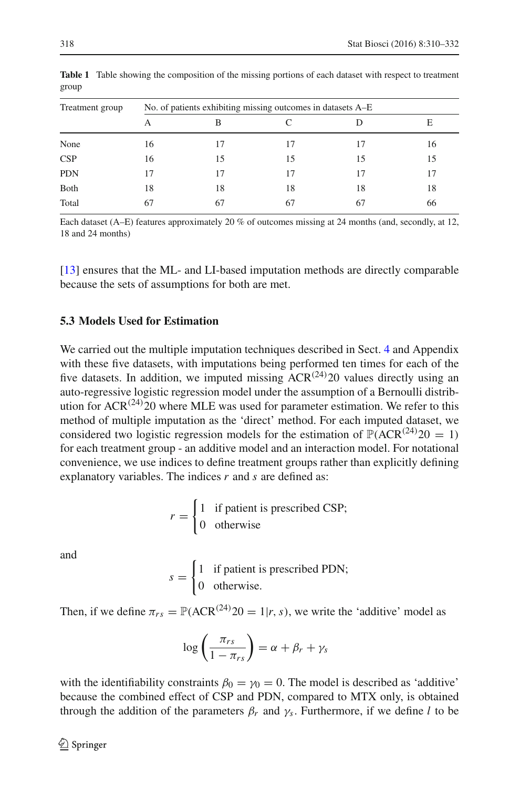| Treatment group | No. of patients exhibiting missing outcomes in datasets A-E |    |    |    |    |  |
|-----------------|-------------------------------------------------------------|----|----|----|----|--|
|                 | А                                                           | B  |    |    | E  |  |
| None            | 16                                                          | 17 |    | 17 | 16 |  |
| <b>CSP</b>      | 16                                                          | 15 | 15 | 15 | 15 |  |
| <b>PDN</b>      | 17                                                          | 17 | 17 | 17 | 17 |  |
| Both            | 18                                                          | 18 | 18 | 18 | 18 |  |
| Total           | 67                                                          | 67 | 67 | 67 | 66 |  |

<span id="page-8-0"></span>Table 1 Table showing the composition of the missing portions of each dataset with respect to treatment group

Each dataset (A–E) features approximately 20 % of outcomes missing at 24 months (and, secondly, at 12, 18 and 24 months)

[\[13](#page-22-9)] ensures that the ML- and LI-based imputation methods are directly comparable because the sets of assumptions for both are met.

# **5.3 Models Used for Estimation**

We carried out the multiple imputation techniques described in Sect. [4](#page-5-0) and Appendix with these five datasets, with imputations being performed ten times for each of the five datasets. In addition, we imputed missing  $ACR^{(24)}20$  values directly using an auto-regressive logistic regression model under the assumption of a Bernoulli distribution for  $ACR^{(24)}20$  where MLE was used for parameter estimation. We refer to this method of multiple imputation as the 'direct' method. For each imputed dataset, we considered two logistic regression models for the estimation of  $\mathbb{P}(\text{ACR}^{(24)}20 = 1)$ for each treatment group - an additive model and an interaction model. For notational convenience, we use indices to define treatment groups rather than explicitly defining explanatory variables. The indices *r* and *s* are defined as:

$$
r = \begin{cases} 1 & \text{if patient is prescribed CSP;} \\ 0 & \text{otherwise} \end{cases}
$$

and

$$
s = \begin{cases} 1 & \text{if patient is prescribed PDN;} \\ 0 & \text{otherwise.} \end{cases}
$$

Then, if we define  $\pi_{rs} = \mathbb{P}(\text{ACR}^{(24)}20 = 1|r, s)$ , we write the 'additive' model as

$$
\log\left(\frac{\pi_{rs}}{1-\pi_{rs}}\right)=\alpha+\beta_r+\gamma_s
$$

with the identifiability constraints  $\beta_0 = \gamma_0 = 0$ . The model is described as 'additive' because the combined effect of CSP and PDN, compared to MTX only, is obtained through the addition of the parameters  $\beta_r$  and  $\gamma_s$ . Furthermore, if we define *l* to be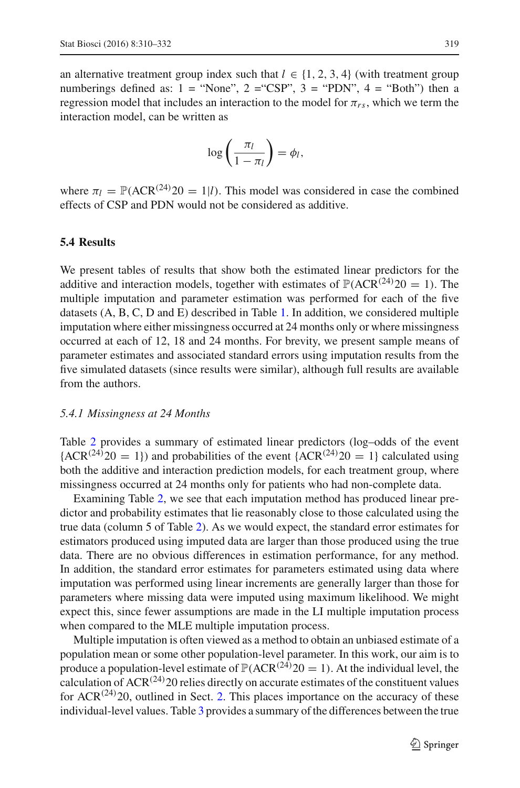an alternative treatment group index such that  $l \in \{1, 2, 3, 4\}$  (with treatment group numberings defined as:  $1 =$  "None",  $2 =$  "CSP",  $3 =$  "PDN",  $4 =$  "Both") then a regression model that includes an interaction to the model for  $\pi_{rs}$ , which we term the interaction model, can be written as

$$
\log\left(\frac{\pi_l}{1-\pi_l}\right)=\phi_l,
$$

where  $\pi_l = \mathbb{P}(\text{ACR}^{(24)}20 = 1|l)$ . This model was considered in case the combined effects of CSP and PDN would not be considered as additive.

#### **5.4 Results**

We present tables of results that show both the estimated linear predictors for the additive and interaction models, together with estimates of  $\mathbb{P}(\text{ACR}^{(24)}20 = 1)$ . The multiple imputation and parameter estimation was performed for each of the five datasets (A, B, C, D and E) described in Table [1.](#page-8-0) In addition, we considered multiple imputation where either missingness occurred at 24 months only or where missingness occurred at each of 12, 18 and 24 months. For brevity, we present sample means of parameter estimates and associated standard errors using imputation results from the five simulated datasets (since results were similar), although full results are available from the authors.

#### *5.4.1 Missingness at 24 Months*

Table [2](#page-10-0) provides a summary of estimated linear predictors (log–odds of the event  ${ACR^{(24)}20 = 1}$  and probabilities of the event  ${ACR^{(24)}20 = 1}$  calculated using both the additive and interaction prediction models, for each treatment group, where missingness occurred at 24 months only for patients who had non-complete data.

Examining Table [2,](#page-10-0) we see that each imputation method has produced linear predictor and probability estimates that lie reasonably close to those calculated using the true data (column 5 of Table [2\)](#page-10-0). As we would expect, the standard error estimates for estimators produced using imputed data are larger than those produced using the true data. There are no obvious differences in estimation performance, for any method. In addition, the standard error estimates for parameters estimated using data where imputation was performed using linear increments are generally larger than those for parameters where missing data were imputed using maximum likelihood. We might expect this, since fewer assumptions are made in the LI multiple imputation process when compared to the MLE multiple imputation process.

Multiple imputation is often viewed as a method to obtain an unbiased estimate of a population mean or some other population-level parameter. In this work, our aim is to produce a population-level estimate of  $\mathbb{P}(\text{ACR}^{(24)}20 = 1)$ . At the individual level, the calculation of  $ACR^{(24)}$  20 relies directly on accurate estimates of the constituent values for  $ACR^{(24)}$ 20, outlined in Sect. [2.](#page-2-0) This places importance on the accuracy of these individual-level values. Table [3](#page-10-1) provides a summary of the differences between the true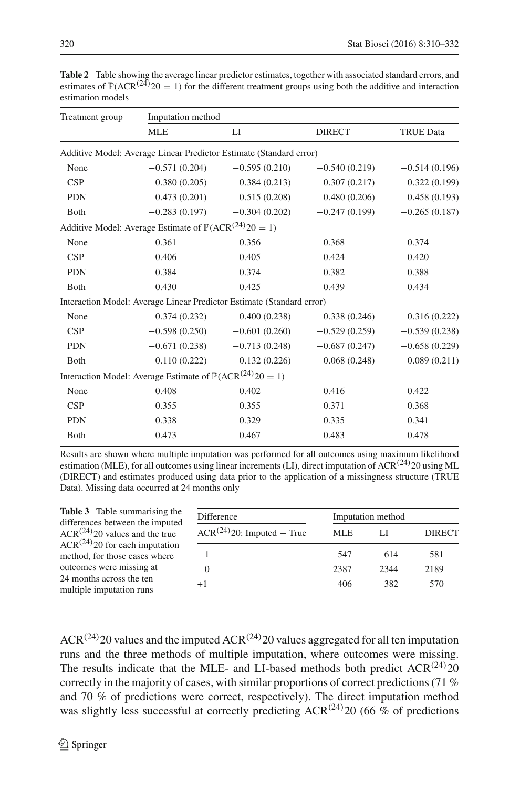| Treatment group | Imputation method                                                            |                                                                       |                 |                  |  |  |
|-----------------|------------------------------------------------------------------------------|-----------------------------------------------------------------------|-----------------|------------------|--|--|
|                 | <b>MLE</b>                                                                   | LI                                                                    | <b>DIRECT</b>   | <b>TRUE Data</b> |  |  |
|                 |                                                                              | Additive Model: Average Linear Predictor Estimate (Standard error)    |                 |                  |  |  |
| None            | $-0.571(0.204)$                                                              | $-0.595(0.210)$                                                       | $-0.540(0.219)$ | $-0.514(0.196)$  |  |  |
| CSP             | $-0.380(0.205)$                                                              | $-0.384(0.213)$                                                       | $-0.307(0.217)$ | $-0.322(0.199)$  |  |  |
| <b>PDN</b>      | $-0.473(0.201)$                                                              | $-0.515(0.208)$                                                       | $-0.480(0.206)$ | $-0.458(0.193)$  |  |  |
| <b>B</b> oth    | $-0.283(0.197)$                                                              | $-0.304(0.202)$                                                       | $-0.247(0.199)$ | $-0.265(0.187)$  |  |  |
|                 | Additive Model: Average Estimate of $\mathbb{P}(\text{ACR}^{(24)}20 = 1)$    |                                                                       |                 |                  |  |  |
| None            | 0.361                                                                        | 0.356                                                                 | 0.368           | 0.374            |  |  |
| CSP             | 0.406                                                                        | 0.405                                                                 | 0.424           | 0.420            |  |  |
| <b>PDN</b>      | 0.384                                                                        | 0.374                                                                 | 0.382           | 0.388            |  |  |
| <b>B</b> oth    | 0.430                                                                        | 0.425                                                                 | 0.439           | 0.434            |  |  |
|                 |                                                                              | Interaction Model: Average Linear Predictor Estimate (Standard error) |                 |                  |  |  |
| None            | $-0.374(0.232)$                                                              | $-0.400(0.238)$                                                       | $-0.338(0.246)$ | $-0.316(0.222)$  |  |  |
| CSP             | $-0.598(0.250)$                                                              | $-0.601(0.260)$                                                       | $-0.529(0.259)$ | $-0.539(0.238)$  |  |  |
| <b>PDN</b>      | $-0.671(0.238)$                                                              | $-0.713(0.248)$                                                       | $-0.687(0.247)$ | $-0.658(0.229)$  |  |  |
| <b>B</b> oth    | $-0.110(0.222)$                                                              | $-0.132(0.226)$                                                       | $-0.068(0.248)$ | $-0.089(0.211)$  |  |  |
|                 | Interaction Model: Average Estimate of $\mathbb{P}(\text{ACR}^{(24)}20 = 1)$ |                                                                       |                 |                  |  |  |
| None            | 0.408                                                                        | 0.402                                                                 | 0.416           | 0.422            |  |  |
| CSP             | 0.355                                                                        | 0.355                                                                 | 0.371           | 0.368            |  |  |
| <b>PDN</b>      | 0.338                                                                        | 0.329                                                                 | 0.335           | 0.341            |  |  |
| Both            | 0.473                                                                        | 0.467                                                                 | 0.483           | 0.478            |  |  |

<span id="page-10-0"></span>**Table 2** Table showing the average linear predictor estimates, together with associated standard errors, and estimates of  $\mathbb{P}(\text{ACR}^{(24)}20 = 1)$  for the different treatment groups using both the additive and interaction estimation models

Results are shown where multiple imputation was performed for all outcomes using maximum likelihood estimation (MLE), for all outcomes using linear increments (LI), direct imputation of ACR<sup>(24)</sup>20 using ML (DIRECT) and estimates produced using data prior to the application of a missingness structure (TRUE Data). Missing data occurred at 24 months only

<span id="page-10-1"></span>

| <b>Table 3</b> Table summarising the<br>differences between the imputed | Difference                      |      | Imputation method |               |  |
|-------------------------------------------------------------------------|---------------------------------|------|-------------------|---------------|--|
| $ACR^{(24)}20$ values and the true                                      | $ACR^{(24)}20$ : Imputed – True | MLE. | LI                | <b>DIRECT</b> |  |
| $ACR^{(24)}20$ for each imputation<br>method, for those cases where     | $-1$                            | 547  | 614               | 581           |  |
| outcomes were missing at                                                |                                 | 2387 | 2344              | 2189          |  |
| 24 months across the ten<br>multiple imputation runs                    | $+1$                            | 406  | 382               | 570           |  |
|                                                                         |                                 |      |                   |               |  |

 $ACR^{(24)}$  20 values and the imputed  $ACR^{(24)}$  20 values aggregated for all ten imputation runs and the three methods of multiple imputation, where outcomes were missing. The results indicate that the MLE- and LI-based methods both predict  $ACR^{(24)}20$ correctly in the majority of cases, with similar proportions of correct predictions (71 % and 70 % of predictions were correct, respectively). The direct imputation method was slightly less successful at correctly predicting  $ACR^{(24)}20$  (66 % of predictions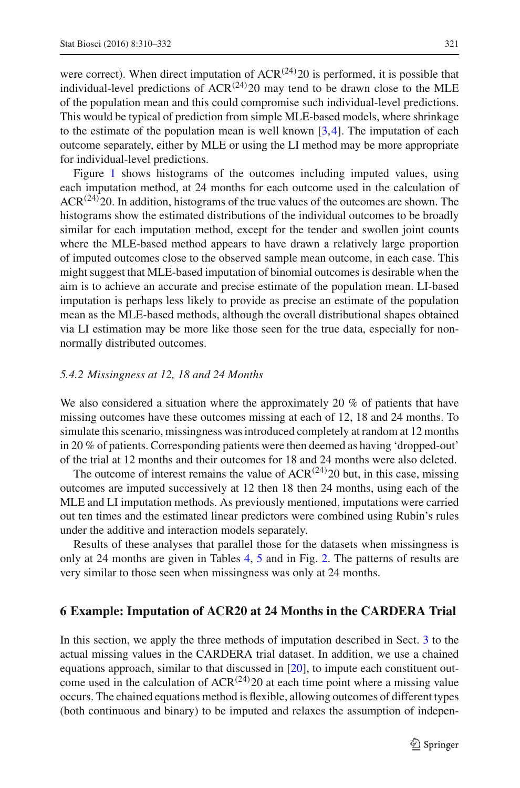were correct). When direct imputation of  $ACR^{(24)}20$  is performed, it is possible that individual-level predictions of  $ACR^{(24)}20$  may tend to be drawn close to the MLE of the population mean and this could compromise such individual-level predictions. This would be typical of prediction from simple MLE-based models, where shrinkage to the estimate of the population mean is well known  $[3,4]$  $[3,4]$  $[3,4]$ . The imputation of each outcome separately, either by MLE or using the LI method may be more appropriate for individual-level predictions.

Figure [1](#page-12-0) shows histograms of the outcomes including imputed values, using each imputation method, at 24 months for each outcome used in the calculation of  $ACR^{(24)}$  20. In addition, histograms of the true values of the outcomes are shown. The histograms show the estimated distributions of the individual outcomes to be broadly similar for each imputation method, except for the tender and swollen joint counts where the MLE-based method appears to have drawn a relatively large proportion of imputed outcomes close to the observed sample mean outcome, in each case. This might suggest that MLE-based imputation of binomial outcomes is desirable when the aim is to achieve an accurate and precise estimate of the population mean. LI-based imputation is perhaps less likely to provide as precise an estimate of the population mean as the MLE-based methods, although the overall distributional shapes obtained via LI estimation may be more like those seen for the true data, especially for nonnormally distributed outcomes.

#### *5.4.2 Missingness at 12, 18 and 24 Months*

We also considered a situation where the approximately 20 % of patients that have missing outcomes have these outcomes missing at each of 12, 18 and 24 months. To simulate this scenario, missingness was introduced completely at random at 12 months in 20 % of patients. Corresponding patients were then deemed as having 'dropped-out' of the trial at 12 months and their outcomes for 18 and 24 months were also deleted.

The outcome of interest remains the value of  $ACR^{(24)}20$  but, in this case, missing outcomes are imputed successively at 12 then 18 then 24 months, using each of the MLE and LI imputation methods. As previously mentioned, imputations were carried out ten times and the estimated linear predictors were combined using Rubin's rules under the additive and interaction models separately.

Results of these analyses that parallel those for the datasets when missingness is only at 24 months are given in Tables [4,](#page-13-0) [5](#page-13-1) and in Fig. [2.](#page-14-0) The patterns of results are very similar to those seen when missingness was only at 24 months.

#### <span id="page-11-0"></span>**6 Example: Imputation of ACR20 at 24 Months in the CARDERA Trial**

In this section, we apply the three methods of imputation described in Sect. [3](#page-3-0) to the actual missing values in the CARDERA trial dataset. In addition, we use a chained equations approach, similar to that discussed in [\[20\]](#page-22-4), to impute each constituent outcome used in the calculation of  $ACR^{(24)}20$  at each time point where a missing value occurs. The chained equations method is flexible, allowing outcomes of different types (both continuous and binary) to be imputed and relaxes the assumption of indepen-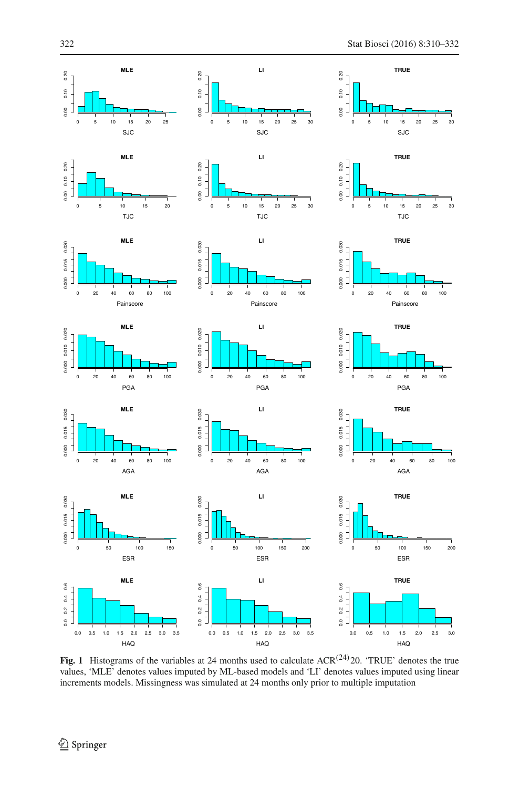

<span id="page-12-0"></span>Fig. 1 Histograms of the variables at 24 months used to calculate ACR<sup>(24)</sup>20. 'TRUE' denotes the true values, 'MLE' denotes values imputed by ML-based models and 'LI' denotes values imputed using linear increments models. Missingness was simulated at 24 months only prior to multiple imputation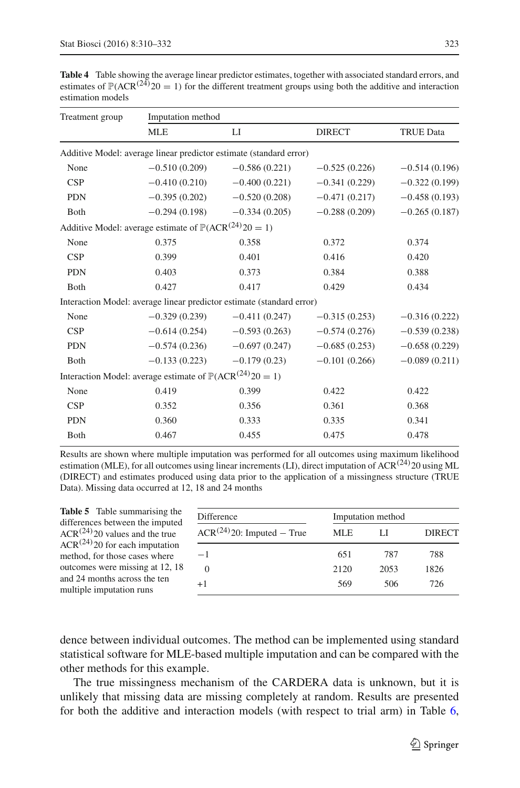<span id="page-13-0"></span>**Table 4** Table showing the average linear predictor estimates, together with associated standard errors, and estimates of  $\mathbb{P}(\text{ACR}^{(24)}20 = 1)$  for the different treatment groups using both the additive and interaction estimation models

| Treatment group | Imputation method                                                            |                                                                       |                 |                  |  |  |
|-----------------|------------------------------------------------------------------------------|-----------------------------------------------------------------------|-----------------|------------------|--|--|
|                 | <b>MLE</b>                                                                   | LI                                                                    | <b>DIRECT</b>   | <b>TRUE Data</b> |  |  |
|                 |                                                                              | Additive Model: average linear predictor estimate (standard error)    |                 |                  |  |  |
| None            | $-0.510(0.209)$                                                              | $-0.586(0.221)$                                                       | $-0.525(0.226)$ | $-0.514(0.196)$  |  |  |
| CSP             | $-0.410(0.210)$                                                              | $-0.400(0.221)$                                                       | $-0.341(0.229)$ | $-0.322(0.199)$  |  |  |
| <b>PDN</b>      | $-0.395(0.202)$                                                              | $-0.520(0.208)$                                                       | $-0.471(0.217)$ | $-0.458(0.193)$  |  |  |
| Both            | $-0.294(0.198)$                                                              | $-0.334(0.205)$                                                       | $-0.288(0.209)$ | $-0.265(0.187)$  |  |  |
|                 | Additive Model: average estimate of $\mathbb{P}(\text{ACR}^{(24)}20 = 1)$    |                                                                       |                 |                  |  |  |
| None            | 0.375                                                                        | 0.358                                                                 | 0.372           | 0.374            |  |  |
| CSP             | 0.399                                                                        | 0.401                                                                 | 0.416           | 0.420            |  |  |
| <b>PDN</b>      | 0.403                                                                        | 0.373                                                                 | 0.384           | 0.388            |  |  |
| Both            | 0.427                                                                        | 0.417                                                                 | 0.429           | 0.434            |  |  |
|                 |                                                                              | Interaction Model: average linear predictor estimate (standard error) |                 |                  |  |  |
| None            | $-0.329(0.239)$                                                              | $-0.411(0.247)$                                                       | $-0.315(0.253)$ | $-0.316(0.222)$  |  |  |
| CSP             | $-0.614(0.254)$                                                              | $-0.593(0.263)$                                                       | $-0.574(0.276)$ | $-0.539(0.238)$  |  |  |
| <b>PDN</b>      | $-0.574(0.236)$                                                              | $-0.697(0.247)$                                                       | $-0.685(0.253)$ | $-0.658(0.229)$  |  |  |
| Both            | $-0.133(0.223)$                                                              | $-0.179(0.23)$                                                        | $-0.101(0.266)$ | $-0.089(0.211)$  |  |  |
|                 | Interaction Model: average estimate of $\mathbb{P}(\text{ACR}^{(24)}20 = 1)$ |                                                                       |                 |                  |  |  |
| None            | 0.419                                                                        | 0.399                                                                 | 0.422           | 0.422            |  |  |
| CSP             | 0.352                                                                        | 0.356                                                                 | 0.361           | 0.368            |  |  |
| <b>PDN</b>      | 0.360                                                                        | 0.333                                                                 | 0.335           | 0.341            |  |  |
| Both            | 0.467                                                                        | 0.455                                                                 | 0.475           | 0.478            |  |  |

Results are shown where multiple imputation was performed for all outcomes using maximum likelihood estimation (MLE), for all outcomes using linear increments (LI), direct imputation of ACR<sup>(24)</sup>20 using ML (DIRECT) and estimates produced using data prior to the application of a missingness structure (TRUE Data). Missing data occurred at 12, 18 and 24 months

<span id="page-13-1"></span>

| <b>Table 5</b> Table summarising the<br>differences between the imputed | Difference                      | Imputation method |      |               |
|-------------------------------------------------------------------------|---------------------------------|-------------------|------|---------------|
| $ACR^{(24)}20$ values and the true                                      | $ACR^{(24)}20$ : Imputed – True | MLE.              | LI   | <b>DIRECT</b> |
| $ACR^{(24)}20$ for each imputation<br>method, for those cases where     | $-1$                            | 651               | 787  | 788           |
| outcomes were missing at 12, 18                                         | $\Omega$                        | 2120              | 2053 | 1826          |
| and 24 months across the ten<br>multiple imputation runs                | $+1$                            | 569               | 506  | 726           |

dence between individual outcomes. The method can be implemented using standard statistical software for MLE-based multiple imputation and can be compared with the other methods for this example.

The true missingness mechanism of the CARDERA data is unknown, but it is unlikely that missing data are missing completely at random. Results are presented for both the additive and interaction models (with respect to trial arm) in Table [6,](#page-15-0)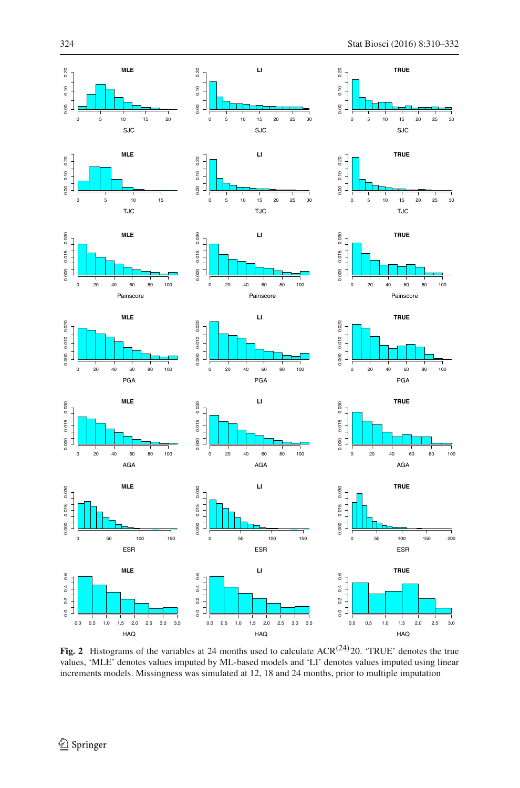

<span id="page-14-0"></span>Fig. 2 Histograms of the variables at 24 months used to calculate ACR<sup>(24)</sup>20. 'TRUE' denotes the true values, 'MLE' denotes values imputed by ML-based models and 'LI' denotes values imputed using linear increments models. Missingness was simulated at 12, 18 and 24 months, prior to multiple imputation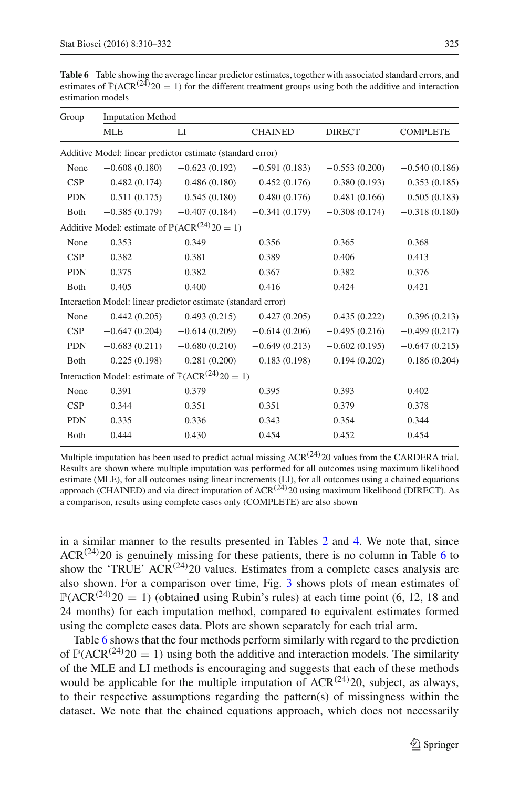<span id="page-15-0"></span>**Table 6** Table showing the average linear predictor estimates, together with associated standard errors, and estimates of  $\mathbb{P}(\text{ACR}^{(24)}20 = 1)$  for the different treatment groups using both the additive and interaction estimation models

| Group        | <b>Imputation Method</b>                                             |                 |                 |                 |                 |  |
|--------------|----------------------------------------------------------------------|-----------------|-----------------|-----------------|-----------------|--|
|              | <b>MLE</b>                                                           | LI              | <b>CHAINED</b>  | <b>DIRECT</b>   | <b>COMPLETE</b> |  |
|              | Additive Model: linear predictor estimate (standard error)           |                 |                 |                 |                 |  |
| None         | $-0.608(0.180)$                                                      | $-0.623(0.192)$ | $-0.591(0.183)$ | $-0.553(0.200)$ | $-0.540(0.186)$ |  |
| CSP          | $-0.482(0.174)$                                                      | $-0.486(0.180)$ | $-0.452(0.176)$ | $-0.380(0.193)$ | $-0.353(0.185)$ |  |
| <b>PDN</b>   | $-0.511(0.175)$                                                      | $-0.545(0.180)$ | $-0.480(0.176)$ | $-0.481(0.166)$ | $-0.505(0.183)$ |  |
| Both         | $-0.385(0.179)$                                                      | $-0.407(0.184)$ | $-0.341(0.179)$ | $-0.308(0.174)$ | $-0.318(0.180)$ |  |
|              | Additive Model: estimate of $\mathbb{P}(\text{ACR}^{(24)}20 = 1)$    |                 |                 |                 |                 |  |
| None         | 0.353                                                                | 0.349           | 0.356           | 0.365           | 0.368           |  |
| CSP          | 0.382                                                                | 0.381           | 0.389           | 0.406           | 0.413           |  |
| <b>PDN</b>   | 0.375                                                                | 0.382           | 0.367           | 0.382           | 0.376           |  |
| <b>B</b> oth | 0.405                                                                | 0.400           | 0.416           | 0.424           | 0.421           |  |
|              | Interaction Model: linear predictor estimate (standard error)        |                 |                 |                 |                 |  |
| None         | $-0.442(0.205)$                                                      | $-0.493(0.215)$ | $-0.427(0.205)$ | $-0.435(0.222)$ | $-0.396(0.213)$ |  |
| CSP          | $-0.647(0.204)$                                                      | $-0.614(0.209)$ | $-0.614(0.206)$ | $-0.495(0.216)$ | $-0.499(0.217)$ |  |
| <b>PDN</b>   | $-0.683(0.211)$                                                      | $-0.680(0.210)$ | $-0.649(0.213)$ | $-0.602(0.195)$ | $-0.647(0.215)$ |  |
| Both         | $-0.225(0.198)$                                                      | $-0.281(0.200)$ | $-0.183(0.198)$ | $-0.194(0.202)$ | $-0.186(0.204)$ |  |
|              | Interaction Model: estimate of $\mathbb{P}(\text{ACR}^{(24)}20 = 1)$ |                 |                 |                 |                 |  |
| None         | 0.391                                                                | 0.379           | 0.395           | 0.393           | 0.402           |  |
| CSP          | 0.344                                                                | 0.351           | 0.351           | 0.379           | 0.378           |  |
| <b>PDN</b>   | 0.335                                                                | 0.336           | 0.343           | 0.354           | 0.344           |  |
| <b>B</b> oth | 0.444                                                                | 0.430           | 0.454           | 0.452           | 0.454           |  |
|              |                                                                      |                 |                 |                 |                 |  |

Multiple imputation has been used to predict actual missing  $ACR^{(24)}$  20 values from the CARDERA trial. Results are shown where multiple imputation was performed for all outcomes using maximum likelihood estimate (MLE), for all outcomes using linear increments (LI), for all outcomes using a chained equations approach (CHAINED) and via direct imputation of  $ACR^{(24)}20$  using maximum likelihood (DIRECT). As a comparison, results using complete cases only (COMPLETE) are also shown

in a similar manner to the results presented in Tables [2](#page-10-0) and [4.](#page-13-0) We note that, since  $ACR^{(24)}$  20 is genuinely missing for these patients, there is no column in Table [6](#page-15-0) to show the 'TRUE'  $ACR^{(24)}20$  values. Estimates from a complete cases analysis are also shown. For a comparison over time, Fig. [3](#page-16-0) shows plots of mean estimates of  $\mathbb{P}(\text{ACR}^{(24)}20 = 1)$  (obtained using Rubin's rules) at each time point (6, 12, 18 and 24 months) for each imputation method, compared to equivalent estimates formed using the complete cases data. Plots are shown separately for each trial arm.

Table [6](#page-15-0) shows that the four methods perform similarly with regard to the prediction of  $\mathbb{P}(\text{ACR}^{(24)}20 = 1)$  using both the additive and interaction models. The similarity of the MLE and LI methods is encouraging and suggests that each of these methods would be applicable for the multiple imputation of  $ACR^{(24)}20$ , subject, as always, to their respective assumptions regarding the pattern(s) of missingness within the dataset. We note that the chained equations approach, which does not necessarily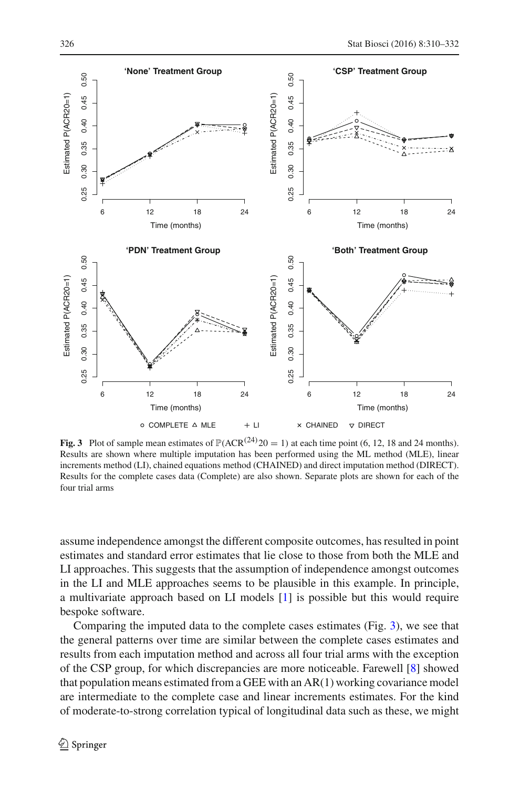

<span id="page-16-0"></span>**Fig. 3** Plot of sample mean estimates of  $\mathbb{P}(ACR^{(24)}20 = 1)$  at each time point (6, 12, 18 and 24 months). Results are shown where multiple imputation has been performed using the ML method (MLE), linear increments method (LI), chained equations method (CHAINED) and direct imputation method (DIRECT). Results for the complete cases data (Complete) are also shown. Separate plots are shown for each of the four trial arms

assume independence amongst the different composite outcomes, has resulted in point estimates and standard error estimates that lie close to those from both the MLE and LI approaches. This suggests that the assumption of independence amongst outcomes in the LI and MLE approaches seems to be plausible in this example. In principle, a multivariate approach based on LI models [\[1\]](#page-21-1) is possible but this would require bespoke software.

Comparing the imputed data to the complete cases estimates (Fig. [3\)](#page-16-0), we see that the general patterns over time are similar between the complete cases estimates and results from each imputation method and across all four trial arms with the exception of the CSP group, for which discrepancies are more noticeable. Farewell [\[8\]](#page-22-11) showed that population means estimated from a GEE with an AR(1) working covariance model are intermediate to the complete case and linear increments estimates. For the kind of moderate-to-strong correlation typical of longitudinal data such as these, we might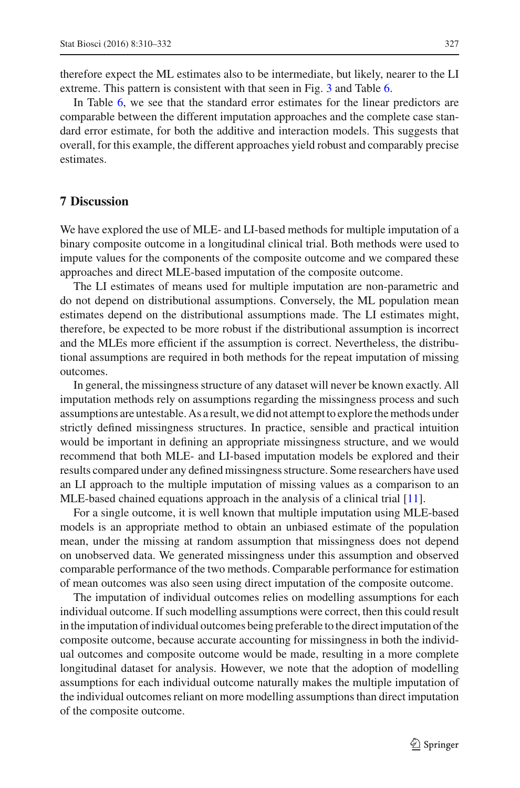therefore expect the ML estimates also to be intermediate, but likely, nearer to the LI extreme. This pattern is consistent with that seen in Fig. [3](#page-16-0) and Table [6.](#page-15-0)

In Table [6,](#page-15-0) we see that the standard error estimates for the linear predictors are comparable between the different imputation approaches and the complete case standard error estimate, for both the additive and interaction models. This suggests that overall, for this example, the different approaches yield robust and comparably precise estimates.

# <span id="page-17-0"></span>**7 Discussion**

We have explored the use of MLE- and LI-based methods for multiple imputation of a binary composite outcome in a longitudinal clinical trial. Both methods were used to impute values for the components of the composite outcome and we compared these approaches and direct MLE-based imputation of the composite outcome.

The LI estimates of means used for multiple imputation are non-parametric and do not depend on distributional assumptions. Conversely, the ML population mean estimates depend on the distributional assumptions made. The LI estimates might, therefore, be expected to be more robust if the distributional assumption is incorrect and the MLEs more efficient if the assumption is correct. Nevertheless, the distributional assumptions are required in both methods for the repeat imputation of missing outcomes.

In general, the missingness structure of any dataset will never be known exactly. All imputation methods rely on assumptions regarding the missingness process and such assumptions are untestable. As a result, we did not attempt to explore the methods under strictly defined missingness structures. In practice, sensible and practical intuition would be important in defining an appropriate missingness structure, and we would recommend that both MLE- and LI-based imputation models be explored and their results compared under any defined missingness structure. Some researchers have used an LI approach to the multiple imputation of missing values as a comparison to an MLE-based chained equations approach in the analysis of a clinical trial [\[11](#page-22-15)].

For a single outcome, it is well known that multiple imputation using MLE-based models is an appropriate method to obtain an unbiased estimate of the population mean, under the missing at random assumption that missingness does not depend on unobserved data. We generated missingness under this assumption and observed comparable performance of the two methods. Comparable performance for estimation of mean outcomes was also seen using direct imputation of the composite outcome.

The imputation of individual outcomes relies on modelling assumptions for each individual outcome. If such modelling assumptions were correct, then this could result in the imputation of individual outcomes being preferable to the direct imputation of the composite outcome, because accurate accounting for missingness in both the individual outcomes and composite outcome would be made, resulting in a more complete longitudinal dataset for analysis. However, we note that the adoption of modelling assumptions for each individual outcome naturally makes the multiple imputation of the individual outcomes reliant on more modelling assumptions than direct imputation of the composite outcome.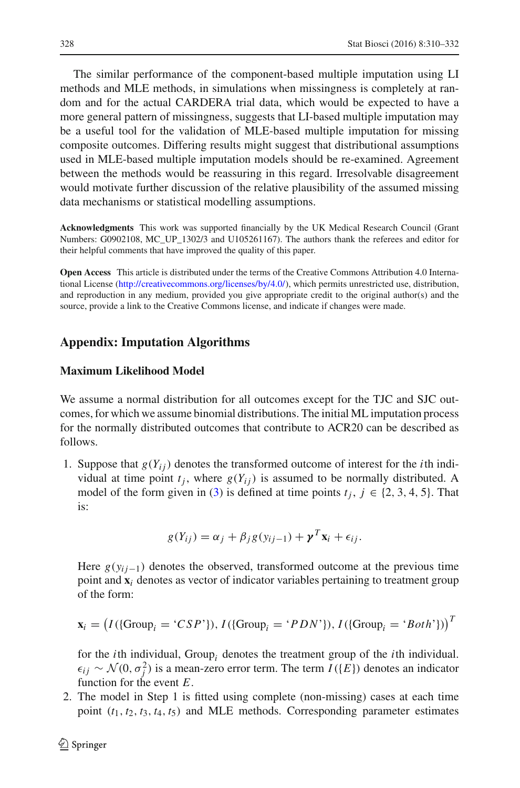The similar performance of the component-based multiple imputation using LI methods and MLE methods, in simulations when missingness is completely at random and for the actual CARDERA trial data, which would be expected to have a more general pattern of missingness, suggests that LI-based multiple imputation may be a useful tool for the validation of MLE-based multiple imputation for missing composite outcomes. Differing results might suggest that distributional assumptions used in MLE-based multiple imputation models should be re-examined. Agreement between the methods would be reassuring in this regard. Irresolvable disagreement would motivate further discussion of the relative plausibility of the assumed missing data mechanisms or statistical modelling assumptions.

**Acknowledgments** This work was supported financially by the UK Medical Research Council (Grant Numbers: G0902108, MC\_UP\_1302/3 and U105261167). The authors thank the referees and editor for their helpful comments that have improved the quality of this paper.

**Open Access** This article is distributed under the terms of the Creative Commons Attribution 4.0 International License [\(http://creativecommons.org/licenses/by/4.0/\)](http://creativecommons.org/licenses/by/4.0/), which permits unrestricted use, distribution, and reproduction in any medium, provided you give appropriate credit to the original author(s) and the source, provide a link to the Creative Commons license, and indicate if changes were made.

# **Appendix: Imputation Algorithms**

### **Maximum Likelihood Model**

We assume a normal distribution for all outcomes except for the TJC and SJC outcomes, for which we assume binomial distributions. The initial ML imputation process for the normally distributed outcomes that contribute to ACR20 can be described as follows.

1. Suppose that  $g(Y_{ij})$  denotes the transformed outcome of interest for the *i*th individual at time point  $t_i$ , where  $g(Y_{ij})$  is assumed to be normally distributed. A model of the form given in [\(3\)](#page-6-0) is defined at time points  $t_j$ ,  $j \in \{2, 3, 4, 5\}$ . That is:

$$
g(Y_{ij}) = \alpha_j + \beta_j g(y_{ij-1}) + \boldsymbol{\gamma}^T \mathbf{x}_i + \epsilon_{ij}.
$$

Here  $g(y_{i,j-1})$  denotes the observed, transformed outcome at the previous time point and  $\mathbf{x}_i$  denotes as vector of indicator variables pertaining to treatment group of the form:

$$
\mathbf{x}_i = (I(\{\text{Group}_i = 'CSP'\}), I(\{\text{Group}_i = 'PDN'\}), I(\{\text{Group}_i = 'Both'\}) )^T
$$

for the *i*th individual, Group*<sup>i</sup>* denotes the treatment group of the *i*th individual.  $\epsilon_{ij} \sim \mathcal{N}(0, \sigma_j^2)$  is a mean-zero error term. The term *I*({*E*}) denotes an indicator function for the event *E*.

2. The model in Step 1 is fitted using complete (non-missing) cases at each time point  $(t_1, t_2, t_3, t_4, t_5)$  and MLE methods. Corresponding parameter estimates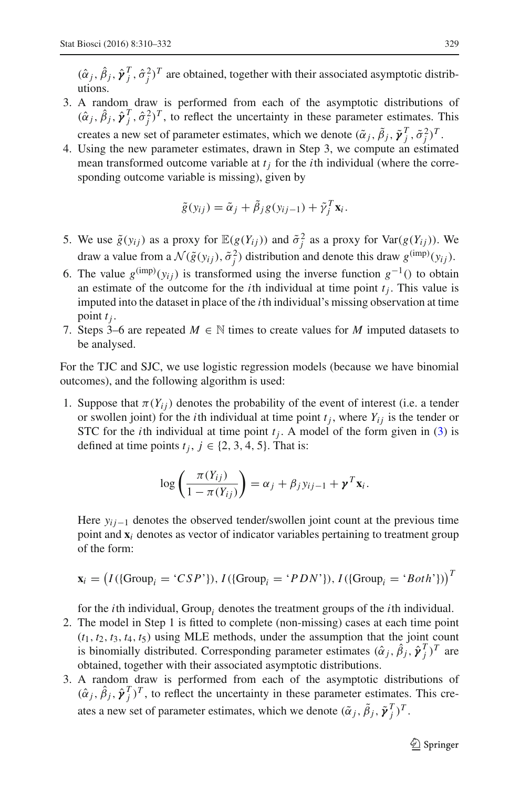$(\hat{\alpha}_j, \hat{\beta}_j, \hat{\gamma}_j^T, \hat{\sigma}_j^2)^T$  are obtained, together with their associated asymptotic distributions.

- 3. A random draw is performed from each of the asymptotic distributions of  $(\hat{\alpha}_j, \hat{\beta}_j, \hat{\gamma}_j^T, \hat{\sigma}_j^2)^T$ , to reflect the uncertainty in these parameter estimates. This creates a new set of parameter estimates, which we denote  $(\tilde{\alpha}_j, \tilde{\beta}_j, \tilde{\gamma}_j^T, \tilde{\sigma}_j^2)^T$ .
- 4. Using the new parameter estimates, drawn in Step 3, we compute an estimated mean transformed outcome variable at  $t_j$  for the *i*th individual (where the corresponding outcome variable is missing), given by

$$
\tilde{g}(y_{ij}) = \tilde{\alpha}_j + \tilde{\beta}_j g(y_{ij-1}) + \tilde{\gamma}_j^T \mathbf{x}_i.
$$

- 5. We use  $\tilde{g}(y_{ij})$  as a proxy for  $\mathbb{E}(g(Y_{ij}))$  and  $\tilde{\sigma}_j^2$  as a proxy for  $\text{Var}(g(Y_{ij}))$ . We draw a value from a  $\mathcal{N}(\tilde{g}(y_{ij}), \tilde{\sigma}_j^2)$  distribution and denote this draw  $g^{(imp)}(y_{ij})$ .
- 6. The value  $g^{(imp)}(y_{ij})$  is transformed using the inverse function  $g^{-1}$ () to obtain an estimate of the outcome for the *i*th individual at time point  $t_j$ . This value is imputed into the dataset in place of the *i*th individual's missing observation at time point *tj* .
- 7. Steps 3–6 are repeated  $M \in \mathbb{N}$  times to create values for *M* imputed datasets to be analysed.

For the TJC and SJC, we use logistic regression models (because we have binomial outcomes), and the following algorithm is used:

1. Suppose that  $\pi(Y_{ij})$  denotes the probability of the event of interest (i.e. a tender or swollen joint) for the *i*th individual at time point  $t_i$ , where  $Y_{ij}$  is the tender or STC for the *i*th individual at time point  $t_i$ . A model of the form given in [\(3\)](#page-6-0) is defined at time points  $t_i$ ,  $j \in \{2, 3, 4, 5\}$ . That is:

$$
\log\left(\frac{\pi(Y_{ij})}{1-\pi(Y_{ij})}\right) = \alpha_j + \beta_j y_{ij-1} + \boldsymbol{\gamma}^T \mathbf{x}_i.
$$

Here  $y_{ij-1}$  denotes the observed tender/swollen joint count at the previous time point and **x***<sup>i</sup>* denotes as vector of indicator variables pertaining to treatment group of the form:

$$
\mathbf{x}_i = \big(I(\{\text{Group}_i = \text{`CSP'}\}), I(\{\text{Group}_i = \text{`PDN'}\}), I(\{\text{Group}_i = \text{`Both'}\})\big)^T
$$

for the *i*th individual, Group*<sup>i</sup>* denotes the treatment groups of the *i*th individual.

- 2. The model in Step 1 is fitted to complete (non-missing) cases at each time point  $(t_1, t_2, t_3, t_4, t_5)$  using MLE methods, under the assumption that the joint count is binomially distributed. Corresponding parameter estimates  $(\hat{\alpha}_j, \hat{\beta}_j, \hat{\gamma}_j^T)^T$  are obtained, together with their associated asymptotic distributions.
- 3. A random draw is performed from each of the asymptotic distributions of  $(\hat{\alpha}_j, \hat{\beta}_j, \hat{\gamma}_j^T)^T$ , to reflect the uncertainty in these parameter estimates. This creates a new set of parameter estimates, which we denote  $(\tilde{\alpha}_j, \tilde{\beta}_j, \tilde{\gamma}_j^T)^T$ .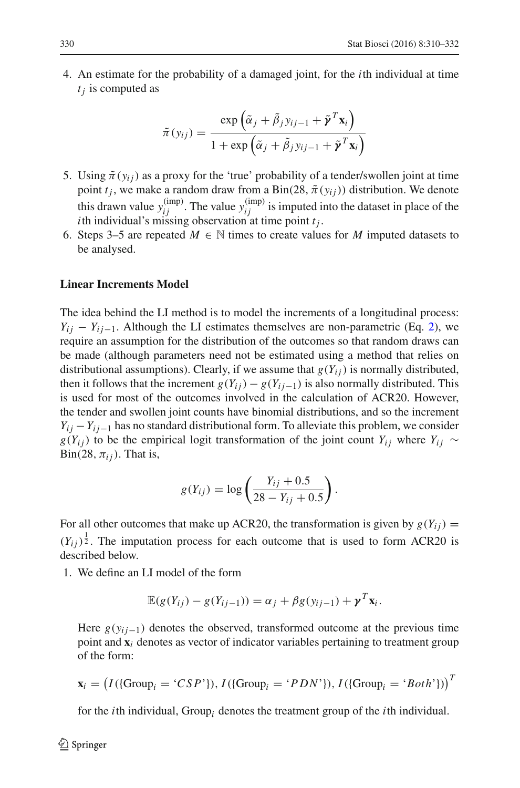4. An estimate for the probability of a damaged joint, for the *i*th individual at time  $t_i$  is computed as

$$
\tilde{\pi}(y_{ij}) = \frac{\exp\left(\tilde{\alpha}_j + \tilde{\beta}_j y_{ij-1} + \tilde{\mathbf{y}}^T \mathbf{x}_i\right)}{1 + \exp\left(\tilde{\alpha}_j + \tilde{\beta}_j y_{ij-1} + \tilde{\mathbf{y}}^T \mathbf{x}_i\right)}
$$

- 5. Using  $\tilde{\pi}(y_{ij})$  as a proxy for the 'true' probability of a tender/swollen joint at time point  $t_i$ , we make a random draw from a Bin(28,  $\tilde{\pi}(y_i)$ ) distribution. We denote this drawn value  $y_{ij}^{(imp)}$ . The value  $y_{ij}^{(imp)}$  is imputed into the dataset in place of the *i*th individual's missing observation at time point  $t_i$ .
- 6. Steps 3–5 are repeated  $M \in \mathbb{N}$  times to create values for M imputed datasets to be analysed.

#### **Linear Increments Model**

The idea behind the LI method is to model the increments of a longitudinal process:  $Y_{ij} - Y_{ij-1}$ . Although the LI estimates themselves are non-parametric (Eq. [2\)](#page-5-1), we require an assumption for the distribution of the outcomes so that random draws can be made (although parameters need not be estimated using a method that relies on distributional assumptions). Clearly, if we assume that  $g(Y_{ij})$  is normally distributed, then it follows that the increment  $g(Y_{ij}) - g(Y_{ij-1})$  is also normally distributed. This is used for most of the outcomes involved in the calculation of ACR20. However, the tender and swollen joint counts have binomial distributions, and so the increment  $Y_{ij} - Y_{ij-1}$  has no standard distributional form. To alleviate this problem, we consider *g*( $Y_{ij}$ ) to be the empirical logit transformation of the joint count  $Y_{ij}$  where  $Y_{ij}$  ∼  $Bin(28, \pi_{ij})$ . That is,

$$
g(Y_{ij}) = \log \left( \frac{Y_{ij} + 0.5}{28 - Y_{ij} + 0.5} \right).
$$

For all other outcomes that make up ACR20, the transformation is given by  $g(Y_{ii}) =$  $(Y_{ij})^{\frac{1}{2}}$ . The imputation process for each outcome that is used to form ACR20 is described below.

1. We define an LI model of the form

$$
\mathbb{E}(g(Y_{ij}) - g(Y_{ij-1})) = \alpha_j + \beta g(y_{ij-1}) + \boldsymbol{\gamma}^T \mathbf{x}_i.
$$

Here  $g(y_{i,i-1})$  denotes the observed, transformed outcome at the previous time point and  $\mathbf{x}_i$  denotes as vector of indicator variables pertaining to treatment group of the form:

$$
\mathbf{x}_i = (I(\{\text{Group}_i = 'CSP'\}), I(\{\text{Group}_i = 'PDN'\}), I(\{\text{Group}_i = 'Both'\}) )^T
$$

for the *i*th individual, Group*<sup>i</sup>* denotes the treatment group of the *i*th individual.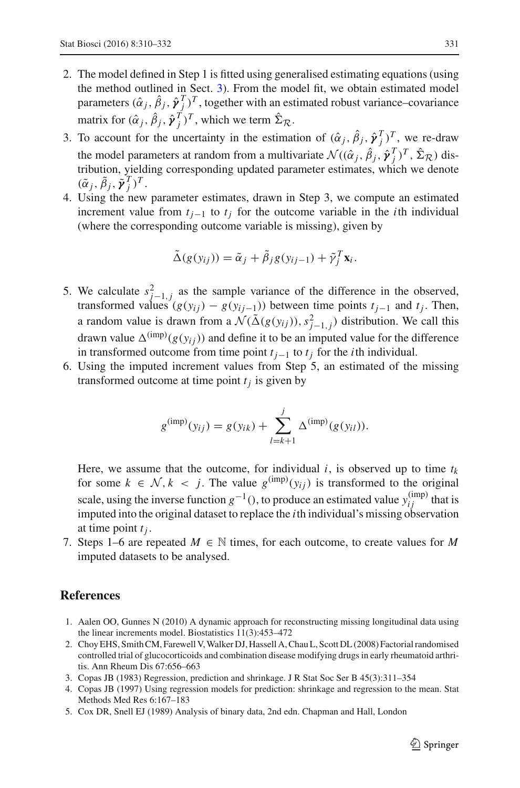- 2. The model defined in Step 1 is fitted using generalised estimating equations (using the method outlined in Sect. [3\)](#page-3-0). From the model fit, we obtain estimated model parameters  $(\hat{\alpha}_j, \hat{\beta}_j, \hat{\gamma}_j^T)^T$ , together with an estimated robust variance–covariance matrix for  $(\hat{\alpha}_j, \hat{\beta}_j, \hat{\gamma}_j^T)^T$ , which we term  $\hat{\Sigma}_{\mathcal{R}}$ .
- 3. To account for the uncertainty in the estimation of  $(\hat{\alpha}_j, \hat{\beta}_j, \hat{\gamma}_j^T)^T$ , we re-draw the model parameters at random from a multivariate  $\mathcal{N}((\hat{\alpha}_j, \hat{\beta}_j, \hat{\gamma}_j^T)^T, \hat{\Sigma}_{\mathcal{R}})$  distribution, yielding corresponding updated parameter estimates, which we denote  $(\tilde{\alpha}_j, \tilde{\beta}_j, \tilde{\boldsymbol{\gamma}}_j^T)^T.$
- 4. Using the new parameter estimates, drawn in Step 3, we compute an estimated increment value from  $t_{i-1}$  to  $t_i$  for the outcome variable in the *i*th individual (where the corresponding outcome variable is missing), given by

$$
\tilde{\Delta}(g(y_{ij})) = \tilde{\alpha}_j + \tilde{\beta}_j g(y_{ij-1}) + \tilde{\gamma}_j^T \mathbf{x}_i.
$$

- 5. We calculate  $s_{j-1,j}^2$  as the sample variance of the difference in the observed, there is the sample variance of the difference in the observed, transformed values  $(g(y_{ij}) - g(y_{ij-1}))$  between time points  $t_{j-1}$  and  $t_j$ . Then, a random value is drawn from a  $N(\tilde{\Delta}(g(y_{ij})), s_{j-1,j}^2)$  distribution. We call this drawn value  $\Delta^{(imp)}(g(y_{ij}))$  and define it to be an imputed value for the difference in transformed outcome from time point  $t_{i-1}$  to  $t_i$  for the *i*th individual.
- 6. Using the imputed increment values from Step 5, an estimated of the missing transformed outcome at time point  $t_i$  is given by

$$
g^{(imp)}(y_{ij}) = g(y_{ik}) + \sum_{l=k+1}^{j} \Delta^{(imp)}(g(y_{il})).
$$

Here, we assume that the outcome, for individual *i*, is observed up to time  $t_k$ for some  $k \in \mathcal{N}, k \lt j$ . The value  $g^{(imp)}(y_{ij})$  is transformed to the original scale, using the inverse function  $g^{-1}$  (), to produce an estimated value  $y_{ij}^{(imp)}$  that is imputed into the original dataset to replace the *i*th individual's missing observation at time point  $t_i$ .

7. Steps 1–6 are repeated  $M \in \mathbb{N}$  times, for each outcome, to create values for M imputed datasets to be analysed.

# **References**

- <span id="page-21-1"></span>1. Aalen OO, Gunnes N (2010) A dynamic approach for reconstructing missing longitudinal data using the linear increments model. Biostatistics 11(3):453–472
- <span id="page-21-0"></span>2. Choy EHS, Smith CM, Farewell V,Walker DJ, Hassell A, Chau L, Scott DL (2008) Factorial randomised controlled trial of glucocorticoids and combination disease modifying drugs in early rheumatoid arthritis. Ann Rheum Dis 67:656–663
- <span id="page-21-3"></span>3. Copas JB (1983) Regression, prediction and shrinkage. J R Stat Soc Ser B 45(3):311–354
- <span id="page-21-4"></span>4. Copas JB (1997) Using regression models for prediction: shrinkage and regression to the mean. Stat Methods Med Res 6:167–183
- <span id="page-21-2"></span>5. Cox DR, Snell EJ (1989) Analysis of binary data, 2nd edn. Chapman and Hall, London